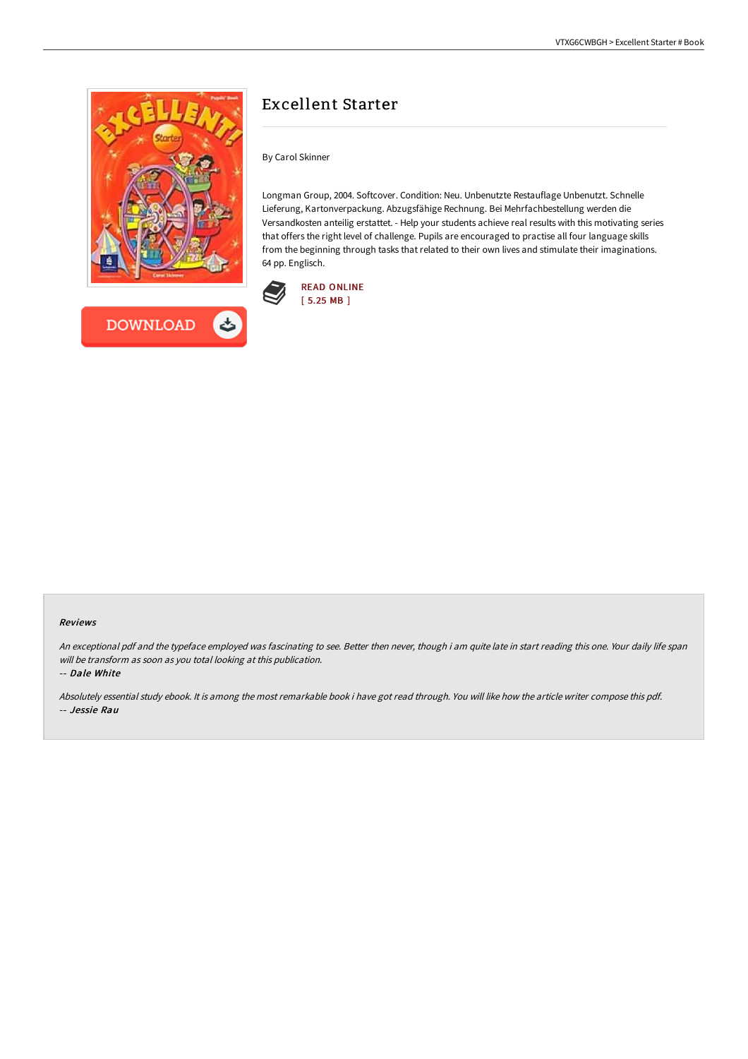



# Excellent Starter

By Carol Skinner

Longman Group, 2004. Softcover. Condition: Neu. Unbenutzte Restauflage Unbenutzt. Schnelle Lieferung, Kartonverpackung. Abzugsfähige Rechnung. Bei Mehrfachbestellung werden die Versandkosten anteilig erstattet. - Help your students achieve real results with this motivating series that offers the right level of challenge. Pupils are encouraged to practise all four language skills from the beginning through tasks that related to their own lives and stimulate their imaginations. 64 pp. Englisch.



#### Reviews

An exceptional pdf and the typeface employed was fascinating to see. Better then never, though i am quite late in start reading this one. Your daily life span will be transform as soon as you total looking at this publication.

-- Dale White

Absolutely essential study ebook. It is among the most remarkable book i have got read through. You will like how the article writer compose this pdf. -- Jessie Rau